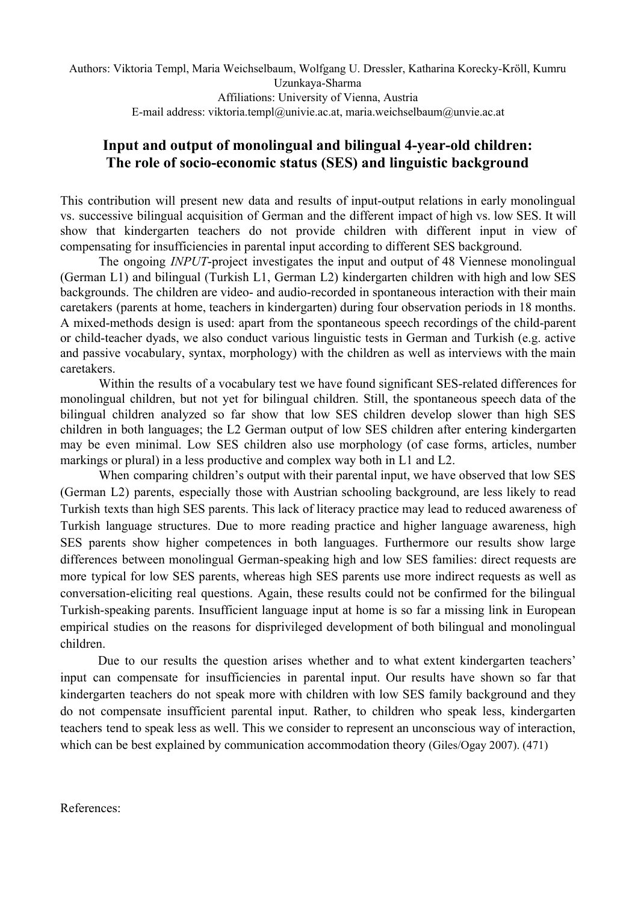Authors: Viktoria Templ, Maria Weichselbaum, Wolfgang U. Dressler, Katharina Korecky-Kröll, Kumru Uzunkaya-Sharma Affiliations: University of Vienna, Austria E-mail address: viktoria.templ@univie.ac.at, maria.weichselbaum@unvie.ac.at

## **Input and output of monolingual and bilingual 4-year-old children:** The role of socio-economic status (SES) and linguistic background

This contribution will present new data and results of input-output relations in early monolingual vs. successive bilingual acquisition of German and the different impact of high vs. low SES. It will show that kindergarten teachers do not provide children with different input in view of compensating for insufficiencies in parental input according to different SES background.

The ongoing *INPUT*-project investigates the input and output of 48 Viennese monolingual (German L1) and bilingual (Turkish L1, German L2) kindergarten children with high and low SES backgrounds. The children are video- and audio-recorded in spontaneous interaction with their main caretakers (parents at home, teachers in kindergarten) during four observation periods in 18 months. A mixed-methods design is used: apart from the spontaneous speech recordings of the child-parent or child-teacher dyads, we also conduct various linguistic tests in German and Turkish (e.g. active and passive vocabulary, syntax, morphology) with the children as well as interviews with the main caretakers.

Within the results of a vocabulary test we have found significant SES-related differences for monolingual children, but not yet for bilingual children. Still, the spontaneous speech data of the bilingual children analyzed so far show that low SES children develop slower than high SES children in both languages; the L2 German output of low SES children after entering kindergarten may be even minimal. Low SES children also use morphology (of case forms, articles, number markings or plural) in a less productive and complex way both in L1 and L2.

When comparing children's output with their parental input, we have observed that low SES (German L2) parents, especially those with Austrian schooling background, are less likely to read Turkish texts than high SES parents. This lack of literacy practice may lead to reduced awareness of Turkish language structures. Due to more reading practice and higher language awareness, high SES parents show higher competences in both languages. Furthermore our results show large differences between monolingual German-speaking high and low SES families: direct requests are more typical for low SES parents, whereas high SES parents use more indirect requests as well as conversation-eliciting real questions. Again, these results could not be confirmed for the bilingual Turkish-speaking parents. Insufficient language input at home is so far a missing link in European empirical studies on the reasons for disprivileged development of both bilingual and monolingual children.

Due to our results the question arises whether and to what extent kindergarten teachers' input can compensate for insufficiencies in parental input. Our results have shown so far that kindergarten teachers do not speak more with children with low SES family background and they do not compensate insufficient parental input. Rather, to children who speak less, kindergarten teachers tend to speak less as well. This we consider to represent an unconscious way of interaction, which can be best explained by communication accommodation theory (Giles/Ogay 2007). (471)

References: